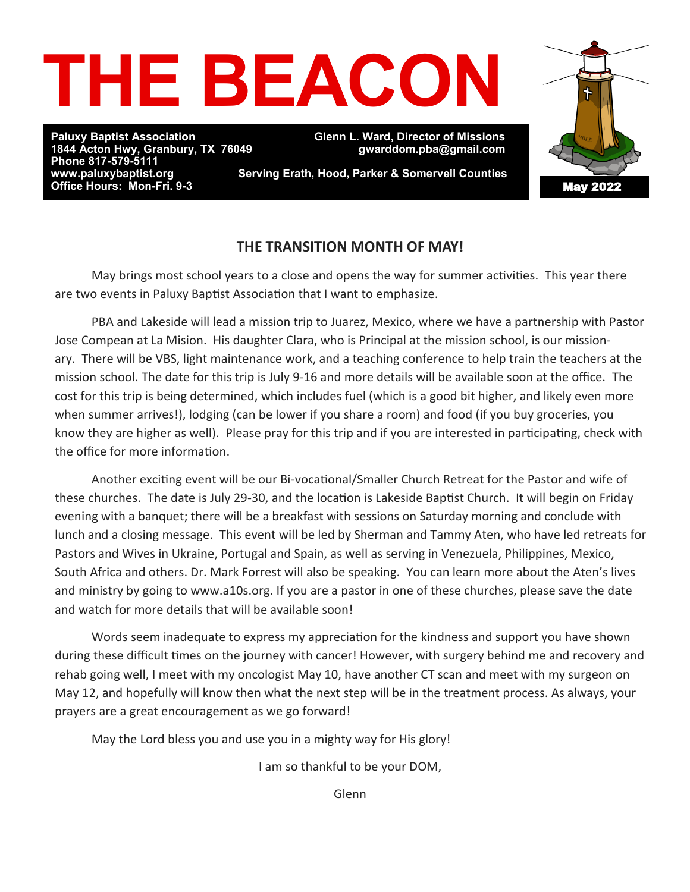

**Phone 817-579-5111 Office Hours: Mon-Fri. 9-3** 

**Paluxy Baptist Association Glenn L. Ward, Director of Missions 1844 Acton Hwy, Granbury, TX 76049 gwarddom.pba@gmail.com** 

May 2022

**Serving Erath, Hood, Parker & Somervell Counties** 

#### **THE TRANSITION MONTH OF MAY!**

 May brings most school years to a close and opens the way for summer activities. This year there are two events in Paluxy Baptist Association that I want to emphasize.

 PBA and Lakeside will lead a mission trip to Juarez, Mexico, where we have a partnership with Pastor Jose Compean at La Mision. His daughter Clara, who is Principal at the mission school, is our missionary. There will be VBS, light maintenance work, and a teaching conference to help train the teachers at the mission school. The date for this trip is July 9-16 and more details will be available soon at the office. The cost for this trip is being determined, which includes fuel (which is a good bit higher, and likely even more when summer arrives!), lodging (can be lower if you share a room) and food (if you buy groceries, you know they are higher as well). Please pray for this trip and if you are interested in participating, check with the office for more information.

 Another exciting event will be our Bi-vocational/Smaller Church Retreat for the Pastor and wife of these churches. The date is July 29-30, and the location is Lakeside Baptist Church. It will begin on Friday evening with a banquet; there will be a breakfast with sessions on Saturday morning and conclude with lunch and a closing message. This event will be led by Sherman and Tammy Aten, who have led retreats for Pastors and Wives in Ukraine, Portugal and Spain, as well as serving in Venezuela, Philippines, Mexico, South Africa and others. Dr. Mark Forrest will also be speaking. You can learn more about the Aten's lives and ministry by going to www.a10s.org. If you are a pastor in one of these churches, please save the date and watch for more details that will be available soon!

 Words seem inadequate to express my appreciation for the kindness and support you have shown during these difficult times on the journey with cancer! However, with surgery behind me and recovery and rehab going well, I meet with my oncologist May 10, have another CT scan and meet with my surgeon on May 12, and hopefully will know then what the next step will be in the treatment process. As always, your prayers are a great encouragement as we go forward!

May the Lord bless you and use you in a mighty way for His glory!

I am so thankful to be your DOM,

Glenn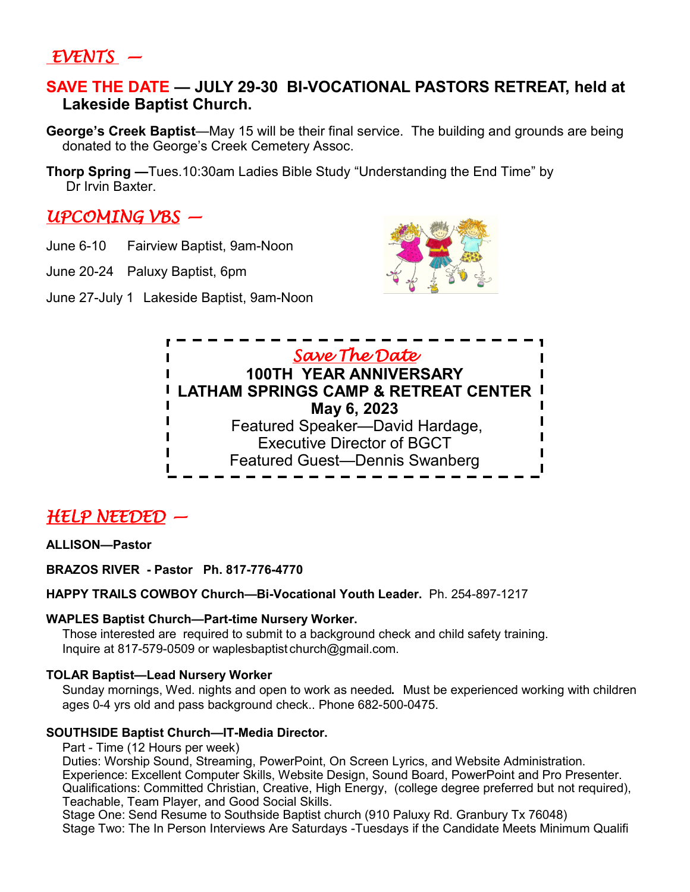### *EVENTS —*

#### **SAVE THE DATE — JULY 29-30 BI-VOCATIONAL PASTORS RETREAT, held at Lakeside Baptist Church.**

- **George's Creek Baptist**—May 15 will be their final service. The building and grounds are being donated to the George's Creek Cemetery Assoc.
- **Thorp Spring —**Tues.10:30am Ladies Bible Study "Understanding the End Time" by Dr Irvin Baxter.

### *UPCOMING VBS —*

- June 6-10 Fairview Baptist, 9am-Noon
- June 20-24 Paluxy Baptist, 6pm
- June 27-July 1 Lakeside Baptist, 9am-Noon





### *HELP NEEDED —*

#### **ALLISON—Pastor**

**BRAZOS RIVER - Pastor Ph. 817-776-4770**

**HAPPY TRAILS COWBOY Church—Bi-Vocational Youth Leader.** Ph. 254-897-1217

#### **WAPLES Baptist Church—Part-time Nursery Worker.**

Those interested are required to submit to a background check and child safety training. Inquire at 817-579-0509 or waplesbaptist church@gmail.com.

#### **TOLAR Baptist—Lead Nursery Worker**

Sunday mornings, Wed. nights and open to work as needed**.** Must be experienced working with children ages 0-4 yrs old and pass background check.. Phone 682-500-0475.

#### **SOUTHSIDE Baptist Church—IT-Media Director.**

Part - Time (12 Hours per week)

Duties: Worship Sound, Streaming, PowerPoint, On Screen Lyrics, and Website Administration. Experience: Excellent Computer Skills, Website Design, Sound Board, PowerPoint and Pro Presenter. Qualifications: Committed Christian, Creative, High Energy, (college degree preferred but not required), Teachable, Team Player, and Good Social Skills.

Stage One: Send Resume to Southside Baptist church (910 Paluxy Rd. Granbury Tx 76048)

Stage Two: The In Person Interviews Are Saturdays -Tuesdays if the Candidate Meets Minimum Qualifi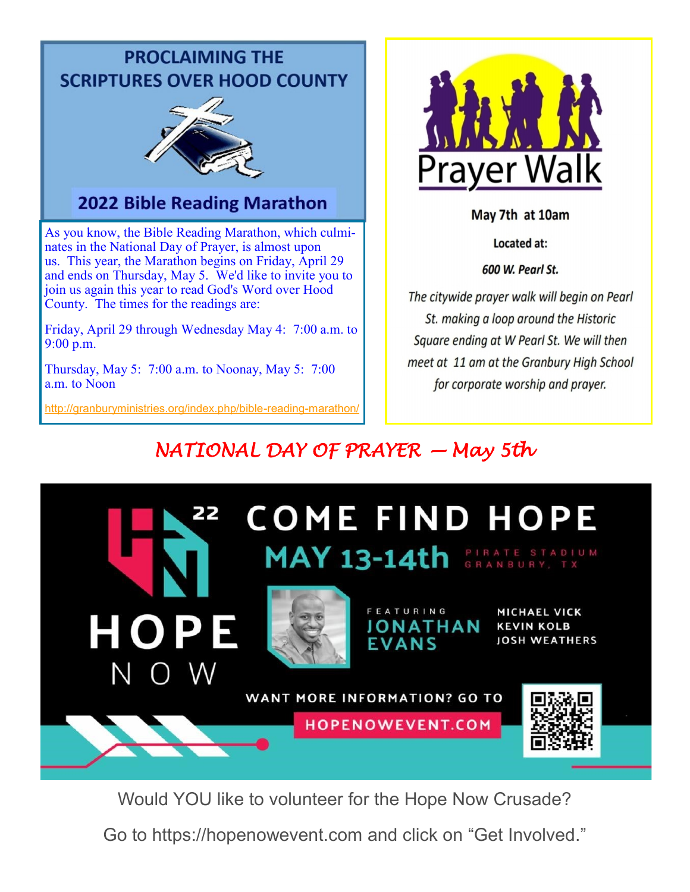# **PROCLAIMING THE SCRIPTURES OVER HOOD COUNTY**



# 2022 Bible Reading Marathon

As you know, the Bible Reading Marathon, which culminates in the National Day of Prayer, is almost upon us. This year, the Marathon begins on Friday, April 29 and ends on Thursday, May 5. We'd like to invite you to join us again this year to read God's Word over Hood County. The times for the readings are:

Friday, April 29 through Wednesday May 4: 7:00 a.m. to 9:00 p.m.

Thursday, May 5: 7:00 a.m. to Noonay, May 5: 7:00 a.m. to Noon

[http://granburyministries.org/index.php/bible](http://granburyministries.org/index.php/bible-reading-marathon/)-reading-marathon/



May 7th at 10am

Located at:

600 W. Pearl St.

The citywide prayer walk will begin on Pearl St. making a loop around the Historic Square ending at W Pearl St. We will then meet at 11 am at the Granbury High School for corporate worship and prayer.

# *NATIONAL DAY OF PRAYER — May 5th*



Would YOU like to volunteer for the Hope Now Crusade?

Go to https://hopenowevent.com and click on "Get Involved."